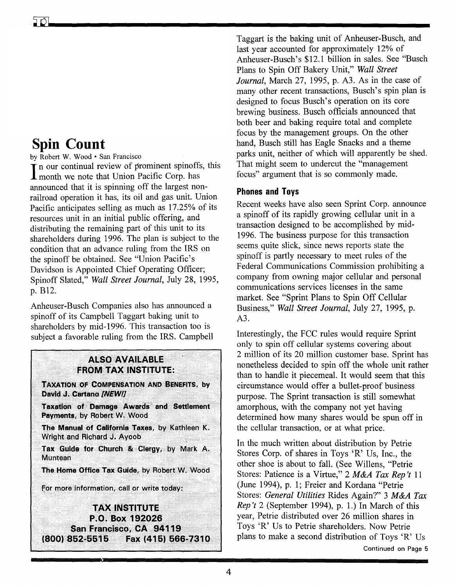# Spin Count

by Robert W. Wood · San Francisco

In our continual review of prominent spinots<br>
I month we note that Union Pacific Corp. has In our continual review of prominent spinoffs, this announced that it is spinning off the largest nonrailroad operation it has, its oil and gas unit. Union Pacific anticipates selling as much as 17.25% of its resources unit in an initial public offering, and distributing the remaining part of this unit to its shareholders during 1996. The plan is subject to the condition that an advance ruling from the IRS on the spinoff be obtained. See "Union Pacific's Davidson is Appointed Chief Operating Officer; Spinoff Slated," *Wall Street Journal,* July 28, 1995, p. B12.

Anheuser-Busch Companies also has announced a spinoff of its Campbell Taggart baking unit to shareholders by mid-1996. This transaction too is subject a favorable ruling from the IRS. Campbell

### **ALSO AVAILABLE FROM TAX INSTITUTE:**

TAXATION OF COMPENSATION AND BENEFITS, by David J. Cartano [NEW!]

Taxation of Damage Awards and Settlement Payments, by Robert W. Wood

The Manual of California Taxes, by Kathleen K. Wright and Richard J. Ayoob.

Tax Guide for Church & Clergy, by Mark A. **Muntean** 

The Home Office Tax Guide, by Robert W. Wood

For more information, call or write today:

**TAX INSTITUTE** P.O. Box 192026 San Francisco, CA 94119 (800) 852-5515 Fax (415) 566-7310 Taggart is the baking unit of Anheuser-Busch, and last year accounted for approximately 12% of Anheuser-Busch's \$12.1 billion in sales. See "Busch Plans to Spin Off Bakery Unit," *Wall Street Journal,* March 27, 1995, p. A3. As in the case of many other recent transactions, Busch's spin plan is designed to focus Busch's operation on its core brewing business. Busch officials announced that both beer and baking require total and complete focus by the management groups. On the other hand, Busch still has Eagle Snacks and a theme parks unit, neither of which will apparently be shed. That might seem to undercut the "management focus" argument that is so commonly made.

### Phones and Toys

Recent weeks have also seen Sprint Corp. announce a spinoff of its rapidly growing cellular unit in a transaction designed to be accomplished by mid-1996. The business purpose for this transaction seems quite slick, since news reports state the spinoff is partly necessary to meet rules of the Federal Communications Commission prohibiting a company from owning major cellular and personal communications services licenses in the same market. See "Sprint Plans to Spin Off Cellular Business," *Wall Street Journal,* July 27, 1995, p. A3.

Interestingly, the FCC rules would require Sprint only to spin off cellular systems covering about 2 million of its 20 million customer base. Sprint has nonetheless decided to spin off the whole unit rather than to handle it piecemeal. It would seem that this circumstance would offer a bullet-proof business purpose. The Sprint transaction is still somewhat amorphous, with the company not yet having determined how many shares would be spun off in the cellular transaction, or at what price.

In the much written about distribution by Petrie Stores Corp. of shares in Toys 'R' Us, Inc., the other shoe is about to fall. (See Willens, "Petrie Stores: Patience is a Virtue," 2 *M&A Tax Rep't* 11 (June 1994), p. 1; Freier and Kordana "Petrie Stores: *General Utilities* Rides Again?" 3 *M&A Tax Rep't* 2 (September 1994), p. 1.) In March of this year, Petrie distributed over 26 million shares in Toys 'R' Us to Petrie shareholders. Now Petrie plans to make a second distribution of Toys 'R' Us Continued on Page 5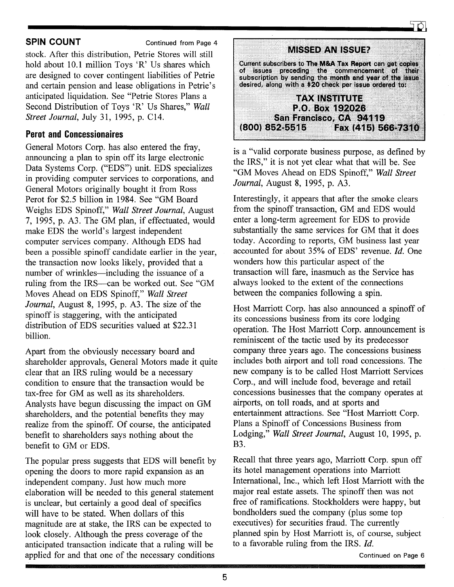**SPIN COUNT** Continued from Page 4

stock. After this distribution, Petrie Stores will still hold about 10.1 million Toys 'R' Us shares which are designed to cover contingent liabilities of Petrie and certain pension and lease obligations in Petrie's anticipated liquidation. See "Petrie Stores Plans a Second Distribution of Toys 'R' Us Shares," *Wall Street Journal,* July 31,1995, p. C14.

### **Perot and Concessionaires**

General Motors Corp. has also entered the fray, announcing a plan to spin off its large electronic Data Systems Corp. ("EDS") unit. EDS specializes in providing computer services to corporations, and General Motors originally bought it from Ross Perot for \$2.5 billion in 1984. See "GM Board Weighs EDS Spinoff," *Wall Street Journal,* August 7, 1995, p. A3. The GM plan, if effectuated, would make EDS the world's largest independent computer services company. Although EDS had been a possible spinoff candidate earlier in the year, the transaction now looks likely, provided that a number of wrinkles—including the issuance of a ruling from the IRS—can be worked out. See "GM Moves Ahead on EDS Spinoff," *Wall Street Journal,* August 8, 1995, p. A3. The size of the spinoff is staggering, with the anticipated distribution of EDS securities valued at \$22.31 billion.

Apart from the obviously necessary board and shareholder approvals, General Motors made it quite clear that an IRS ruling would be a necessary condition to ensure that the transaction would be tax-free for GM as well as its shareholders. Analysts have begun discussing the impact on GM shareholders, and the potential benefits they may realize from the spinoff. Of course, the anticipated benefit to shareholders says nothing about the benefit to GM or EDS.

The popular press suggests that EDS will benefit by opening the doors to more rapid expansion as an independent company. Just how much more elaboration will be needed to this general statement is unclear, but certainly a good deal of specifics will have to be stated. When dollars of this magnitude are at stake, the IRS can be expected to look closely. Although the press coverage of the anticipated transaction indicate that a ruling will be applied for and that one of the necessary conditions

|                         | MISSED AN ISSUE?       |                                                                                                                                                                                                                                |  |
|-------------------------|------------------------|--------------------------------------------------------------------------------------------------------------------------------------------------------------------------------------------------------------------------------|--|
|                         |                        | Current subscribers to The M&A Tax Report can get copies<br>of issues preceding the commencement of their<br>subscription by sending the month and year of the issue<br>desired, along with a \$20 check per issue ordered to: |  |
|                         | TAXINSTITUTE           |                                                                                                                                                                                                                                |  |
| San Francisco, CA 94119 | <b>P.O. Box 192026</b> |                                                                                                                                                                                                                                |  |
|                         |                        |                                                                                                                                                                                                                                |  |

is a "valid corporate business purpose, as defined by the IRS," it is not yet clear what that will be. See "GM Moves Ahead on EDS Spinoff," *Wall Street Journal,* August 8, 1995, p. A3.

Interestingly, it appears that after the smoke clears from the spinoff transaction, GM and EDS would enter a long-term agreement for EDS to provide substantially the same services for GM that it does today. According to reports, GM business last year accounted for about 35% of EDS' revenue. */d.* One wonders how this particular aspect of the transaction will fare, inasmuch as the Service has always looked to the extent of the connections between the companies following a spin.

Host Marriott Corp. has also announced a spinoff of its concessions business from its core lodging operation. The Host Marriott Corp. announcement is reminiscent of the tactic used by its predecessor company three years ago. The concessions business includes both airport and toll road concessions. The new company is to be called Host Marriott Services Corp., and will include food, beverage and retail concessions businesses that the company operates at airports, on toll roads, and at sports and entertainment attractions. See "Host Marriott Corp. Plans a Spinoff of Concessions Business from Lodging," *Wall Street Journal,* August 10, 1995, p. B3.

Recall that three years ago, Marriott Corp. spun off its hotel management operations into Marriott International, Inc., which left Host Marriott with the major real estate assets. The spinoff then was not free of ramifications. Stockholders were happy, but bondholders sued the company (plus some top executives) for securities fraud. The currently planned spin by Host Marriott is, of course, subject to a favorable ruling from the IRS. *[d.*